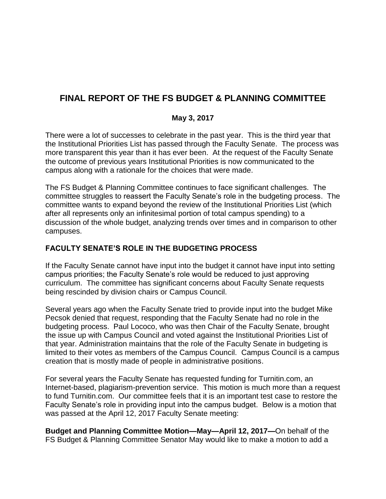# **FINAL REPORT OF THE FS BUDGET & PLANNING COMMITTEE**

# **May 3, 2017**

There were a lot of successes to celebrate in the past year. This is the third year that the Institutional Priorities List has passed through the Faculty Senate. The process was more transparent this year than it has ever been. At the request of the Faculty Senate the outcome of previous years Institutional Priorities is now communicated to the campus along with a rationale for the choices that were made.

The FS Budget & Planning Committee continues to face significant challenges. The committee struggles to reassert the Faculty Senate's role in the budgeting process. The committee wants to expand beyond the review of the Institutional Priorities List (which after all represents only an infinitesimal portion of total campus spending) to a discussion of the whole budget, analyzing trends over times and in comparison to other campuses.

# **FACULTY SENATE'S ROLE IN THE BUDGETING PROCESS**

If the Faculty Senate cannot have input into the budget it cannot have input into setting campus priorities; the Faculty Senate's role would be reduced to just approving curriculum. The committee has significant concerns about Faculty Senate requests being rescinded by division chairs or Campus Council.

Several years ago when the Faculty Senate tried to provide input into the budget Mike Pecsok denied that request, responding that the Faculty Senate had no role in the budgeting process. Paul Lococo, who was then Chair of the Faculty Senate, brought the issue up with Campus Council and voted against the Institutional Priorities List of that year. Administration maintains that the role of the Faculty Senate in budgeting is limited to their votes as members of the Campus Council. Campus Council is a campus creation that is mostly made of people in administrative positions.

For several years the Faculty Senate has requested funding for Turnitin.com, an Internet-based, plagiarism-prevention service. This motion is much more than a request to fund Turnitin.com. Our committee feels that it is an important test case to restore the Faculty Senate's role in providing input into the campus budget. Below is a motion that was passed at the April 12, 2017 Faculty Senate meeting:

**Budget and Planning Committee Motion—May—April 12, 2017—**On behalf of the FS Budget & Planning Committee Senator May would like to make a motion to add a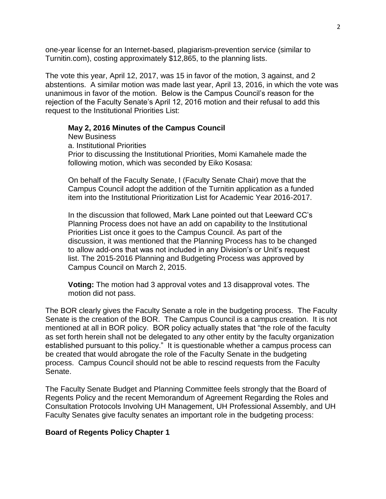one-year license for an Internet-based, plagiarism-prevention service (similar to Turnitin.com), costing approximately \$12,865, to the planning lists.

The vote this year, April 12, 2017, was 15 in favor of the motion, 3 against, and 2 abstentions. A similar motion was made last year, April 13, 2016, in which the vote was unanimous in favor of the motion. Below is the Campus Council's reason for the rejection of the Faculty Senate's April 12, 2016 motion and their refusal to add this request to the Institutional Priorities List:

#### **May 2, 2016 Minutes of the Campus Council**

New Business a. Institutional Priorities Prior to discussing the Institutional Priorities, Momi Kamahele made the following motion, which was seconded by Eiko Kosasa:

On behalf of the Faculty Senate, I (Faculty Senate Chair) move that the Campus Council adopt the addition of the Turnitin application as a funded item into the Institutional Prioritization List for Academic Year 2016-2017.

In the discussion that followed, Mark Lane pointed out that Leeward CC's Planning Process does not have an add on capability to the Institutional Priorities List once it goes to the Campus Council. As part of the discussion, it was mentioned that the Planning Process has to be changed to allow add-ons that was not included in any Division's or Unit's request list. The 2015-2016 Planning and Budgeting Process was approved by Campus Council on March 2, 2015.

**Voting:** The motion had 3 approval votes and 13 disapproval votes. The motion did not pass.

The BOR clearly gives the Faculty Senate a role in the budgeting process. The Faculty Senate is the creation of the BOR. The Campus Council is a campus creation. It is not mentioned at all in BOR policy. BOR policy actually states that "the role of the faculty as set forth herein shall not be delegated to any other entity by the faculty organization established pursuant to this policy." It is questionable whether a campus process can be created that would abrogate the role of the Faculty Senate in the budgeting process. Campus Council should not be able to rescind requests from the Faculty Senate.

The Faculty Senate Budget and Planning Committee feels strongly that the Board of Regents Policy and the recent Memorandum of Agreement Regarding the Roles and Consultation Protocols Involving UH Management, UH Professional Assembly, and UH Faculty Senates give faculty senates an important role in the budgeting process:

#### **Board of Regents Policy Chapter 1**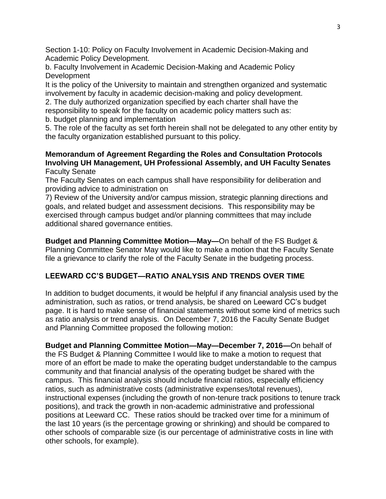Section 1-10: Policy on Faculty Involvement in Academic Decision-Making and Academic Policy Development.

b. Faculty Involvement in Academic Decision-Making and Academic Policy **Development** 

It is the policy of the University to maintain and strengthen organized and systematic involvement by faculty in academic decision-making and policy development.

2. The duly authorized organization specified by each charter shall have the

responsibility to speak for the faculty on academic policy matters such as:

b. budget planning and implementation

5. The role of the faculty as set forth herein shall not be delegated to any other entity by the faculty organization established pursuant to this policy.

### **Memorandum of Agreement Regarding the Roles and Consultation Protocols Involving UH Management, UH Professional Assembly, and UH Faculty Senates** Faculty Senate

The Faculty Senates on each campus shall have responsibility for deliberation and providing advice to administration on

7) Review of the University and/or campus mission, strategic planning directions and goals, and related budget and assessment decisions. This responsibility may be exercised through campus budget and/or planning committees that may include additional shared governance entities.

**Budget and Planning Committee Motion—May—**On behalf of the FS Budget & Planning Committee Senator May would like to make a motion that the Faculty Senate file a grievance to clarify the role of the Faculty Senate in the budgeting process.

# **LEEWARD CC'S BUDGET—RATIO ANALYSIS AND TRENDS OVER TIME**

In addition to budget documents, it would be helpful if any financial analysis used by the administration, such as ratios, or trend analysis, be shared on Leeward CC's budget page. It is hard to make sense of financial statements without some kind of metrics such as ratio analysis or trend analysis. On December 7, 2016 the Faculty Senate Budget and Planning Committee proposed the following motion:

**Budget and Planning Committee Motion—May—December 7, 2016—**On behalf of the FS Budget & Planning Committee I would like to make a motion to request that more of an effort be made to make the operating budget understandable to the campus community and that financial analysis of the operating budget be shared with the campus. This financial analysis should include financial ratios, especially efficiency ratios, such as administrative costs (administrative expenses/total revenues), instructional expenses (including the growth of non-tenure track positions to tenure track positions), and track the growth in non-academic administrative and professional positions at Leeward CC. These ratios should be tracked over time for a minimum of the last 10 years (is the percentage growing or shrinking) and should be compared to other schools of comparable size (is our percentage of administrative costs in line with other schools, for example).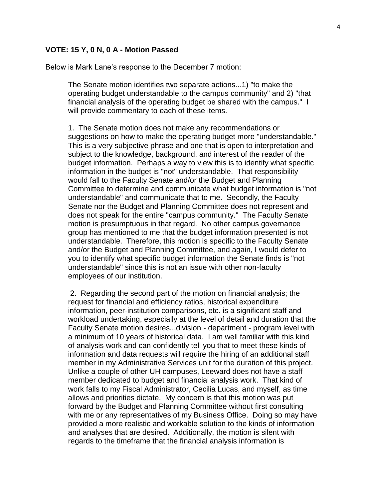#### **VOTE: 15 Y, 0 N, 0 A - Motion Passed**

Below is Mark Lane's response to the December 7 motion:

The Senate motion identifies two separate actions...1) "to make the operating budget understandable to the campus community" and 2) "that financial analysis of the operating budget be shared with the campus." I will provide commentary to each of these items.

1. The Senate motion does not make any recommendations or suggestions on how to make the operating budget more "understandable." This is a very subjective phrase and one that is open to interpretation and subject to the knowledge, background, and interest of the reader of the budget information. Perhaps a way to view this is to identify what specific information in the budget is "not" understandable. That responsibility would fall to the Faculty Senate and/or the Budget and Planning Committee to determine and communicate what budget information is "not understandable" and communicate that to me. Secondly, the Faculty Senate nor the Budget and Planning Committee does not represent and does not speak for the entire "campus community." The Faculty Senate motion is presumptuous in that regard. No other campus governance group has mentioned to me that the budget information presented is not understandable. Therefore, this motion is specific to the Faculty Senate and/or the Budget and Planning Committee, and again, I would defer to you to identify what specific budget information the Senate finds is "not understandable" since this is not an issue with other non-faculty employees of our institution.

2. Regarding the second part of the motion on financial analysis; the request for financial and efficiency ratios, historical expenditure information, peer-institution comparisons, etc. is a significant staff and workload undertaking, especially at the level of detail and duration that the Faculty Senate motion desires...division - department - program level with a minimum of 10 years of historical data. I am well familiar with this kind of analysis work and can confidently tell you that to meet these kinds of information and data requests will require the hiring of an additional staff member in my Administrative Services unit for the duration of this project. Unlike a couple of other UH campuses, Leeward does not have a staff member dedicated to budget and financial analysis work. That kind of work falls to my Fiscal Administrator, Cecilia Lucas, and myself, as time allows and priorities dictate. My concern is that this motion was put forward by the Budget and Planning Committee without first consulting with me or any representatives of my Business Office. Doing so may have provided a more realistic and workable solution to the kinds of information and analyses that are desired. Additionally, the motion is silent with regards to the timeframe that the financial analysis information is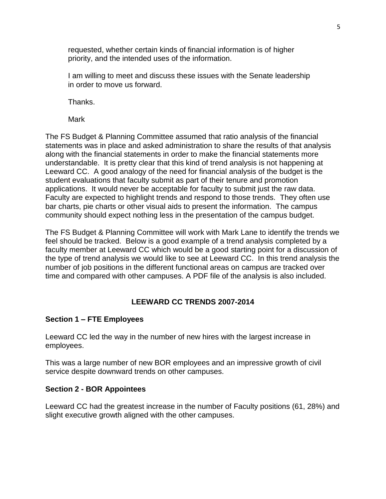requested, whether certain kinds of financial information is of higher priority, and the intended uses of the information.

I am willing to meet and discuss these issues with the Senate leadership in order to move us forward.

Thanks.

Mark

The FS Budget & Planning Committee assumed that ratio analysis of the financial statements was in place and asked administration to share the results of that analysis along with the financial statements in order to make the financial statements more understandable. It is pretty clear that this kind of trend analysis is not happening at Leeward CC. A good analogy of the need for financial analysis of the budget is the student evaluations that faculty submit as part of their tenure and promotion applications. It would never be acceptable for faculty to submit just the raw data. Faculty are expected to highlight trends and respond to those trends. They often use bar charts, pie charts or other visual aids to present the information. The campus community should expect nothing less in the presentation of the campus budget.

The FS Budget & Planning Committee will work with Mark Lane to identify the trends we feel should be tracked. Below is a good example of a trend analysis completed by a faculty member at Leeward CC which would be a good starting point for a discussion of the type of trend analysis we would like to see at Leeward CC. In this trend analysis the number of job positions in the different functional areas on campus are tracked over time and compared with other campuses. A PDF file of the analysis is also included.

# **LEEWARD CC TRENDS 2007-2014**

### **Section 1 – FTE Employees**

Leeward CC led the way in the number of new hires with the largest increase in employees.

This was a large number of new BOR employees and an impressive growth of civil service despite downward trends on other campuses.

### **Section 2 - BOR Appointees**

Leeward CC had the greatest increase in the number of Faculty positions (61, 28%) and slight executive growth aligned with the other campuses.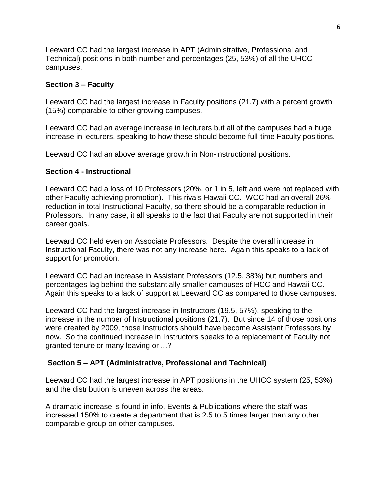Leeward CC had the largest increase in APT (Administrative, Professional and Technical) positions in both number and percentages (25, 53%) of all the UHCC campuses.

# **Section 3 – Faculty**

Leeward CC had the largest increase in Faculty positions (21.7) with a percent growth (15%) comparable to other growing campuses.

Leeward CC had an average increase in lecturers but all of the campuses had a huge increase in lecturers, speaking to how these should become full-time Faculty positions.

Leeward CC had an above average growth in Non-instructional positions.

# **Section 4 - Instructional**

Leeward CC had a loss of 10 Professors (20%, or 1 in 5, left and were not replaced with other Faculty achieving promotion). This rivals Hawaii CC. WCC had an overall 26% reduction in total Instructional Faculty, so there should be a comparable reduction in Professors. In any case, it all speaks to the fact that Faculty are not supported in their career goals.

Leeward CC held even on Associate Professors. Despite the overall increase in Instructional Faculty, there was not any increase here. Again this speaks to a lack of support for promotion.

Leeward CC had an increase in Assistant Professors (12.5, 38%) but numbers and percentages lag behind the substantially smaller campuses of HCC and Hawaii CC. Again this speaks to a lack of support at Leeward CC as compared to those campuses.

Leeward CC had the largest increase in Instructors (19.5, 57%), speaking to the increase in the number of Instructional positions (21.7). But since 14 of those positions were created by 2009, those Instructors should have become Assistant Professors by now. So the continued increase in Instructors speaks to a replacement of Faculty not granted tenure or many leaving or ...?

# **Section 5 – APT (Administrative, Professional and Technical)**

Leeward CC had the largest increase in APT positions in the UHCC system (25, 53%) and the distribution is uneven across the areas.

A dramatic increase is found in info, Events & Publications where the staff was increased 150% to create a department that is 2.5 to 5 times larger than any other comparable group on other campuses.